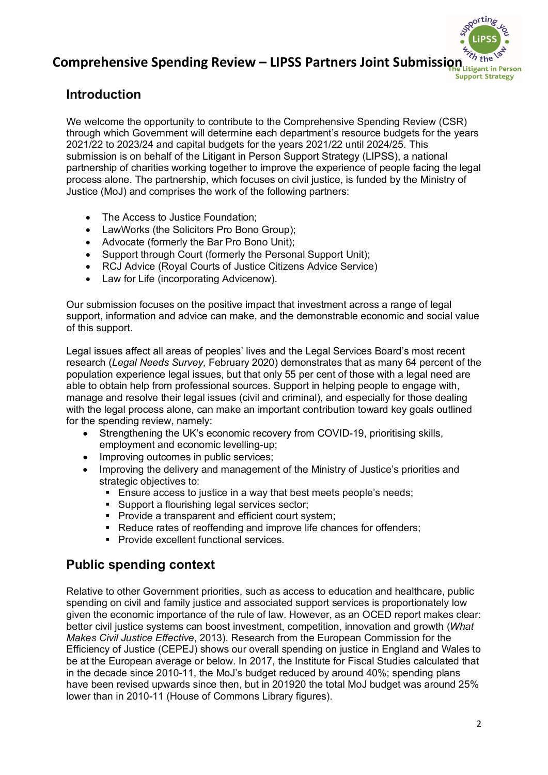# **Comprehensive Spending Review – LIPSS Partners Joint Submission** in Person

# **Introduction**

We welcome the opportunity to contribute to the Comprehensive Spending Review (CSR) through which Government will determine each department's resource budgets for the years 2021/22 to 2023/24 and capital budgets for the years 2021/22 until 2024/25. This submission is on behalf of the Litigant in Person Support Strategy (LIPSS), a national partnership of charities working together to improve the experience of people facing the legal process alone. The partnership, which focuses on civil justice, is funded by the Ministry of Justice (MoJ) and comprises the work of the following partners:

- The Access to Justice Foundation:
- LawWorks (the Solicitors Pro Bono Group);
- Advocate (formerly the Bar Pro Bono Unit);
- Support through Court (formerly the Personal Support Unit);
- RCJ Advice (Royal Courts of Justice Citizens Advice Service)
- Law for Life (incorporating Advicenow).

Our submission focuses on the positive impact that investment across a range of legal support, information and advice can make, and the demonstrable economic and social value of this support.

Legal issues affect all areas of peoples' lives and the Legal Services Board's most recent research (*Legal Needs Survey,* February 2020) demonstrates that as many 64 percent of the population experience legal issues, but that only 55 per cent of those with a legal need are able to obtain help from professional sources. Support in helping people to engage with, manage and resolve their legal issues (civil and criminal), and especially for those dealing with the legal process alone, can make an important contribution toward key goals outlined for the spending review, namely:

- Strengthening the UK's economic recovery from COVID-19, prioritising skills, employment and economic levelling-up;
- Improving outcomes in public services;<br>• Improving the delivery and management
- Improving the delivery and management of the Ministry of Justice's priorities and strategic objectives to:
	- **Ensure access to justice in a way that best meets people's needs:**
	- Support a flourishing legal services sector:
	- **Provide a transparent and efficient court system;**
	- Reduce rates of reoffending and improve life chances for offenders;
	- **Provide excellent functional services.**

# **Public spending context**

Relative to other Government priorities, such as access to education and healthcare, public spending on civil and family justice and associated support services is proportionately low given the economic importance of the rule of law. However, as an OCED report makes clear: better civil justice systems can boost investment, competition, innovation and growth (*What Makes Civil Justice Effective*, 2013). Research from the European Commission for the Efficiency of Justice (CEPEJ) shows our overall spending on justice in England and Wales to be at the European average or below. In 2017, the Institute for Fiscal Studies calculated that in the decade since 2010-11, the MoJ's budget reduced by around 40%; spending plans have been revised upwards since then, but in 201920 the total MoJ budget was around 25% lower than in 2010-11 (House of Commons Library figures).

**Support Strategy**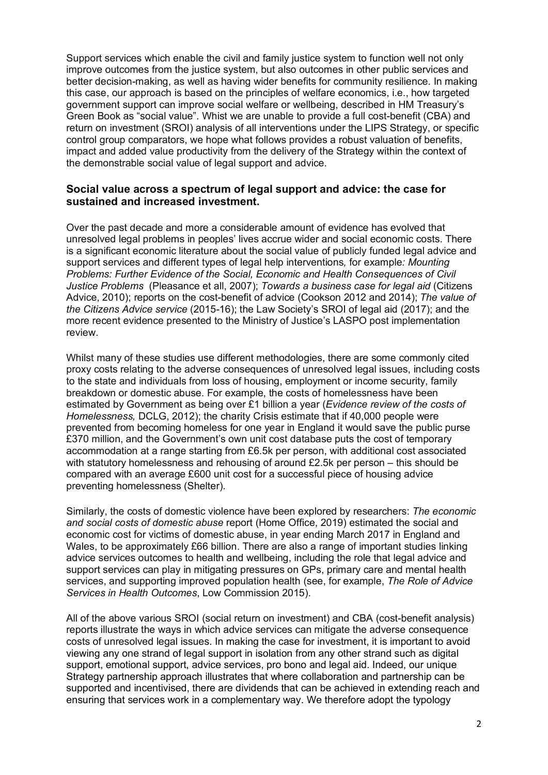Support services which enable the civil and family justice system to function well not only improve outcomes from the justice system, but also outcomes in other public services and better decision-making, as well as having wider benefits for community resilience. In making this case, our approach is based on the principles of welfare economics, i.e., how targeted government support can improve social welfare or wellbeing, described in HM Treasury's Green Book as "social value". Whist we are unable to provide a full cost-benefit (CBA) and return on investment (SROI) analysis of all interventions under the LIPS Strategy, or specific control group comparators, we hope what follows provides a robust valuation of benefits, impact and added value productivity from the delivery of the Strategy within the context of the demonstrable social value of legal support and advice.

#### **Social value across a spectrum of legal support and advice: the case for sustained and increased investment.**

Over the past decade and more a considerable amount of evidence has evolved that unresolved legal problems in peoples' lives accrue wider and social economic costs. There is a significant economic literature about the social value of publicly funded legal advice and support services and different types of legal help interventions*,* for example*: Mounting Problems: Further Evidence of the Social, Economic and Health Consequences of Civil Justice Problems* (Pleasance et all, 2007); *Towards a business case for legal aid* (Citizens Advice, 2010); reports on the cost-benefit of advice (Cookson 2012 and 2014); *The value of the Citizens Advice service* (2015-16); the Law Society's SROI of legal aid (2017); and the more recent evidence presented to the Ministry of Justice's LASPO post implementation review.

Whilst many of these studies use different methodologies, there are some commonly cited proxy costs relating to the adverse consequences of unresolved legal issues, including costs to the state and individuals from loss of housing, employment or income security, family breakdown or domestic abuse. For example, the costs of homelessness have been estimated by Government as being over £1 billion a year (*Evidence review of the costs of Homelessness,* DCLG, 2012); the charity Crisis estimate that if 40,000 people were prevented from becoming homeless for one year in England it would save the public purse £370 million, and the Government's own unit cost database puts the cost of temporary accommodation at a range starting from £6.5k per person, with additional cost associated with statutory homelessness and rehousing of around £2.5k per person – this should be compared with an average £600 unit cost for a successful piece of housing advice preventing homelessness (Shelter).

Similarly, the costs of domestic violence have been explored by researchers: *The economic and social costs of domestic abuse* report (Home Office, 2019) estimated the social and economic cost for victims of domestic abuse, in year ending March 2017 in England and Wales, to be approximately £66 billion. There are also a range of important studies linking advice services outcomes to health and wellbeing, including the role that legal advice and support services can play in mitigating pressures on GPs, primary care and mental health services, and supporting improved population health (see, for example, *The Role of Advice Services in Health Outcomes*, Low Commission 2015).

All of the above various SROI (social return on investment) and CBA (cost-benefit analysis) reports illustrate the ways in which advice services can mitigate the adverse consequence costs of unresolved legal issues. In making the case for investment, it is important to avoid viewing any one strand of legal support in isolation from any other strand such as digital support, emotional support, advice services, pro bono and legal aid. Indeed, our unique Strategy partnership approach illustrates that where collaboration and partnership can be supported and incentivised, there are dividends that can be achieved in extending reach and ensuring that services work in a complementary way. We therefore adopt the typology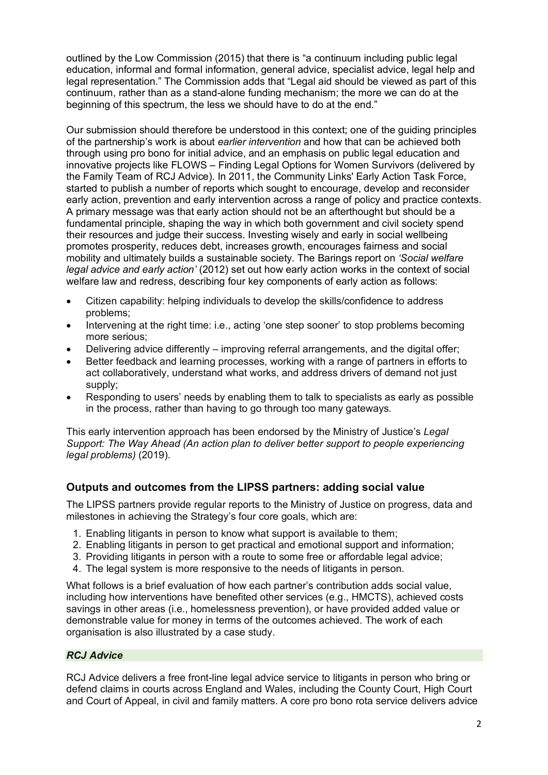outlined by the Low Commission (2015) that there is "a continuum including public legal education, informal and formal information, general advice, specialist advice, legal help and legal representation." The Commission adds that "Legal aid should be viewed as part of this continuum, rather than as a stand-alone funding mechanism; the more we can do at the beginning of this spectrum, the less we should have to do at the end."

Our submission should therefore be understood in this context; one of the guiding principles of the partnership's work is about *earlier intervention* and how that can be achieved both through using pro bono for initial advice, and an emphasis on public legal education and innovative projects like FLOWS – Finding Legal Options for Women Survivors (delivered by the Family Team of RCJ Advice). In 2011, the Community Links' Early Action Task Force, started to publish a number of reports which sought to encourage, develop and reconsider early action, prevention and early intervention across a range of policy and practice contexts. A primary message was that early action should not be an afterthought but should be a fundamental principle, shaping the way in which both government and civil society spend their resources and judge their success. Investing wisely and early in social wellbeing promotes prosperity, reduces debt, increases growth, encourages fairness and social mobility and ultimately builds a sustainable society. The Barings report on *'Social welfare legal advice and early action'* (2012) set out how early action works in the context of social welfare law and redress, describing four key components of early action as follows:

- Citizen capability: helping individuals to develop the skills/confidence to address problems;
- Intervening at the right time: i.e., acting 'one step sooner' to stop problems becoming more serious;
- Delivering advice differently improving referral arrangements, and the digital offer;
- Better feedback and learning processes, working with a range of partners in efforts to act collaboratively, understand what works, and address drivers of demand not just supply;
- Responding to users' needs by enabling them to talk to specialists as early as possible in the process, rather than having to go through too many gateways.

This early intervention approach has been endorsed by the Ministry of Justice's *Legal Support: The Way Ahead (An action plan to deliver better support to people experiencing legal problems)* (2019).

### **Outputs and outcomes from the LIPSS partners: adding social value**

The LIPSS partners provide regular reports to the Ministry of Justice on progress, data and milestones in achieving the Strategy's four core goals, which are:

- 1. Enabling litigants in person to know what support is available to them;
- 2. Enabling litigants in person to get practical and emotional support and information;
- 3. Providing litigants in person with a route to some free or affordable legal advice;
- 4. The legal system is more responsive to the needs of litigants in person.

What follows is a brief evaluation of how each partner's contribution adds social value, including how interventions have benefited other services (e.g., HMCTS), achieved costs savings in other areas (i.e., homelessness prevention), or have provided added value or demonstrable value for money in terms of the outcomes achieved. The work of each organisation is also illustrated by a case study.

#### *RCJ Advice*

RCJ Advice delivers a free front-line legal advice service to litigants in person who bring or defend claims in courts across England and Wales, including the County Court, High Court and Court of Appeal, in civil and family matters. A core pro bono rota service delivers advice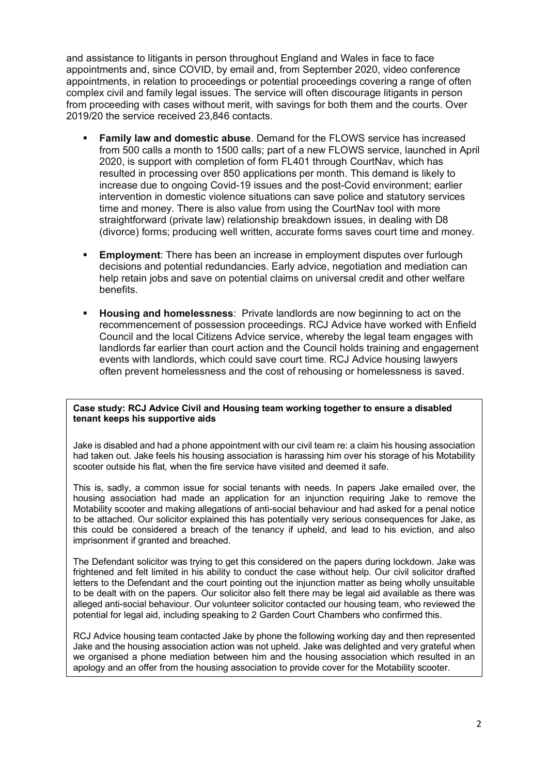and assistance to litigants in person throughout England and Wales in face to face appointments and, since COVID, by email and, from September 2020, video conference appointments, in relation to proceedings or potential proceedings covering a range of often complex civil and family legal issues. The service will often discourage litigants in person from proceeding with cases without merit, with savings for both them and the courts. Over 2019/20 the service received 23,846 contacts.

- **Family law and domestic abuse**. Demand for the FLOWS service has increased from 500 calls a month to 1500 calls; part of a new FLOWS service, launched in April 2020, is support with completion of form FL401 through CourtNav, which has resulted in processing over 850 applications per month. This demand is likely to increase due to ongoing Covid-19 issues and the post-Covid environment; earlier intervention in domestic violence situations can save police and statutory services time and money. There is also value from using the CourtNav tool with more straightforward (private law) relationship breakdown issues, in dealing with D8 (divorce) forms; producing well written, accurate forms saves court time and money.
- **Employment**: There has been an increase in employment disputes over furlough decisions and potential redundancies. Early advice, negotiation and mediation can help retain jobs and save on potential claims on universal credit and other welfare benefits.
- **Housing and homelessness**: Private landlords are now beginning to act on the recommencement of possession proceedings. RCJ Advice have worked with Enfield Council and the local Citizens Advice service, whereby the legal team engages with landlords far earlier than court action and the Council holds training and engagement events with landlords, which could save court time. RCJ Advice housing lawyers often prevent homelessness and the cost of rehousing or homelessness is saved.

#### **Case study: RCJ Advice Civil and Housing team working together to ensure a disabled tenant keeps his supportive aids**

Jake is disabled and had a phone appointment with our civil team re: a claim his housing association had taken out. Jake feels his housing association is harassing him over his storage of his Motability scooter outside his flat, when the fire service have visited and deemed it safe.

This is, sadly, a common issue for social tenants with needs. In papers Jake emailed over, the housing association had made an application for an injunction requiring Jake to remove the Motability scooter and making allegations of anti-social behaviour and had asked for a penal notice to be attached. Our solicitor explained this has potentially very serious consequences for Jake, as this could be considered a breach of the tenancy if upheld, and lead to his eviction, and also imprisonment if granted and breached.

The Defendant solicitor was trying to get this considered on the papers during lockdown. Jake was frightened and felt limited in his ability to conduct the case without help. Our civil solicitor drafted letters to the Defendant and the court pointing out the injunction matter as being wholly unsuitable to be dealt with on the papers. Our solicitor also felt there may be legal aid available as there was alleged anti-social behaviour. Our volunteer solicitor contacted our housing team, who reviewed the potential for legal aid, including speaking to 2 Garden Court Chambers who confirmed this.

RCJ Advice housing team contacted Jake by phone the following working day and then represented Jake and the housing association action was not upheld. Jake was delighted and very grateful when we organised a phone mediation between him and the housing association which resulted in an apology and an offer from the housing association to provide cover for the Motability scooter.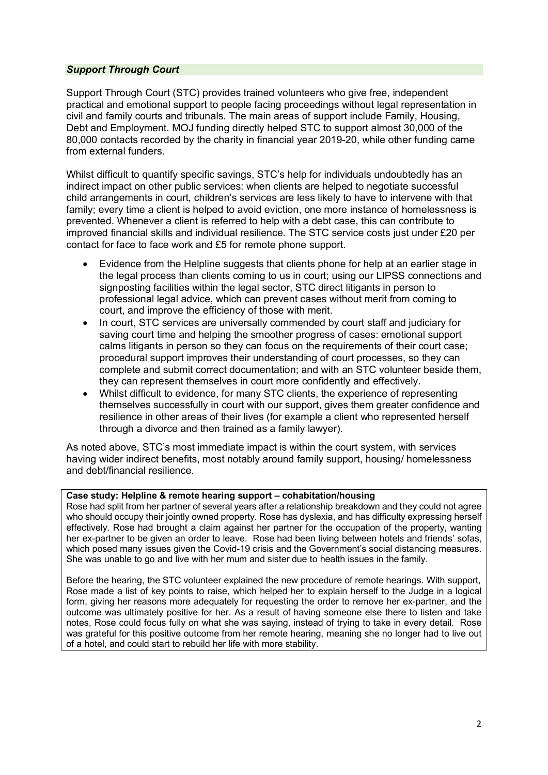#### *Support Through Court*

Support Through Court (STC) provides trained volunteers who give free, independent practical and emotional support to people facing proceedings without legal representation in civil and family courts and tribunals. The main areas of support include Family, Housing, Debt and Employment. MOJ funding directly helped STC to support almost 30,000 of the 80,000 contacts recorded by the charity in financial year 2019-20, while other funding came from external funders.

Whilst difficult to quantify specific savings, STC's help for individuals undoubtedly has an indirect impact on other public services: when clients are helped to negotiate successful child arrangements in court, children's services are less likely to have to intervene with that family; every time a client is helped to avoid eviction, one more instance of homelessness is prevented. Whenever a client is referred to help with a debt case, this can contribute to improved financial skills and individual resilience. The STC service costs just under £20 per contact for face to face work and £5 for remote phone support.

- Evidence from the Helpline suggests that clients phone for help at an earlier stage in the legal process than clients coming to us in court; using our LIPSS connections and signposting facilities within the legal sector, STC direct litigants in person to professional legal advice, which can prevent cases without merit from coming to court, and improve the efficiency of those with merit.
- In court, STC services are universally commended by court staff and judiciary for saving court time and helping the smoother progress of cases: emotional support calms litigants in person so they can focus on the requirements of their court case; procedural support improves their understanding of court processes, so they can complete and submit correct documentation; and with an STC volunteer beside them, they can represent themselves in court more confidently and effectively.
- Whilst difficult to evidence, for many STC clients, the experience of representing themselves successfully in court with our support, gives them greater confidence and resilience in other areas of their lives (for example a client who represented herself through a divorce and then trained as a family lawyer).

As noted above, STC's most immediate impact is within the court system, with services having wider indirect benefits, most notably around family support, housing/ homelessness and debt/financial resilience.

#### **Case study: Helpline & remote hearing support – cohabitation/housing**

Rose had split from her partner of several years after a relationship breakdown and they could not agree who should occupy their jointly owned property. Rose has dyslexia, and has difficulty expressing herself effectively. Rose had brought a claim against her partner for the occupation of the property, wanting her ex-partner to be given an order to leave. Rose had been living between hotels and friends' sofas, which posed many issues given the Covid-19 crisis and the Government's social distancing measures. She was unable to go and live with her mum and sister due to health issues in the family.

Before the hearing, the STC volunteer explained the new procedure of remote hearings. With support, Rose made a list of key points to raise, which helped her to explain herself to the Judge in a logical form, giving her reasons more adequately for requesting the order to remove her ex-partner, and the outcome was ultimately positive for her. As a result of having someone else there to listen and take notes, Rose could focus fully on what she was saying, instead of trying to take in every detail. Rose was grateful for this positive outcome from her remote hearing, meaning she no longer had to live out of a hotel, and could start to rebuild her life with more stability.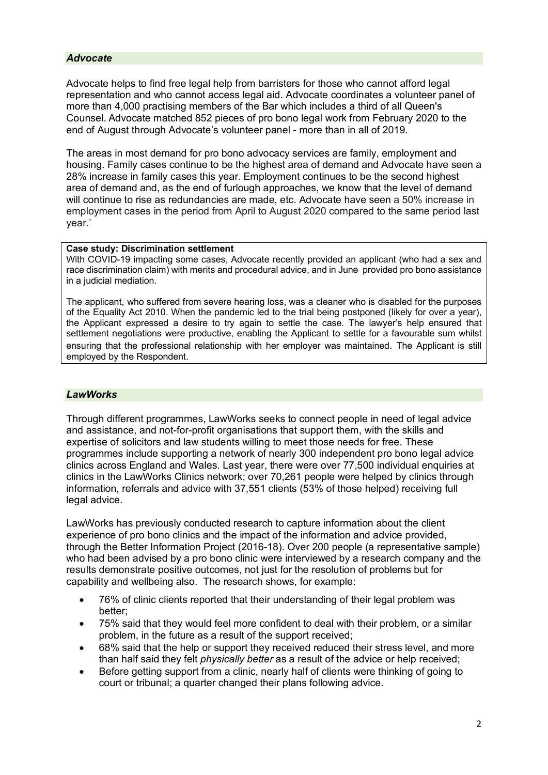#### *Advocate*

Advocate helps to find free legal help from barristers for those who cannot afford legal representation and who cannot access legal aid. Advocate coordinates a volunteer panel of more than 4,000 practising members of the Bar which includes a third of all Queen's Counsel. Advocate matched 852 pieces of pro bono legal work from February 2020 to the end of August through Advocate's volunteer panel - more than in all of 2019.

The areas in most demand for pro bono advocacy services are family, employment and housing. Family cases continue to be the highest area of demand and Advocate have seen a 28% increase in family cases this year. Employment continues to be the second highest area of demand and, as the end of furlough approaches, we know that the level of demand will continue to rise as redundancies are made, etc. Advocate have seen a 50% increase in employment cases in the period from April to August 2020 compared to the same period last year.'

#### **Case study: Discrimination settlement**

With COVID-19 impacting some cases, Advocate recently provided an applicant (who had a sex and race discrimination claim) with merits and procedural advice, and in June provided pro bono assistance in a judicial mediation.

The applicant, who suffered from severe hearing loss, was a cleaner who is disabled for the purposes of the Equality Act 2010. When the pandemic led to the trial being postponed (likely for over a year), the Applicant expressed a desire to try again to settle the case. The lawyer's help ensured that settlement negotiations were productive, enabling the Applicant to settle for a favourable sum whilst ensuring that the professional relationship with her employer was maintained. The Applicant is still employed by the Respondent.

#### *LawWorks*

Through different programmes, LawWorks seeks to connect people in need of legal advice and assistance, and not-for-profit organisations that support them, with the skills and expertise of solicitors and law students willing to meet those needs for free. These programmes include supporting a network of nearly 300 independent pro bono legal advice clinics across England and Wales. Last year, there were over 77,500 individual enquiries at clinics in the LawWorks Clinics network; over 70,261 people were helped by clinics through information, referrals and advice with 37,551 clients (53% of those helped) receiving full legal advice.

LawWorks has previously conducted research to capture information about the client experience of pro bono clinics and the impact of the information and advice provided, through the Better Information Project (2016-18). Over 200 people (a representative sample) who had been advised by a pro bono clinic were interviewed by a research company and the results demonstrate positive outcomes, not just for the resolution of problems but for capability and wellbeing also. The research shows, for example:

- 76% of clinic clients reported that their understanding of their legal problem was better;
- 75% said that they would feel more confident to deal with their problem, or a similar problem, in the future as a result of the support received;
- 68% said that the help or support they received reduced their stress level, and more than half said they felt *physically better* as a result of the advice or help received;
- Before getting support from a clinic, nearly half of clients were thinking of going to court or tribunal; a quarter changed their plans following advice.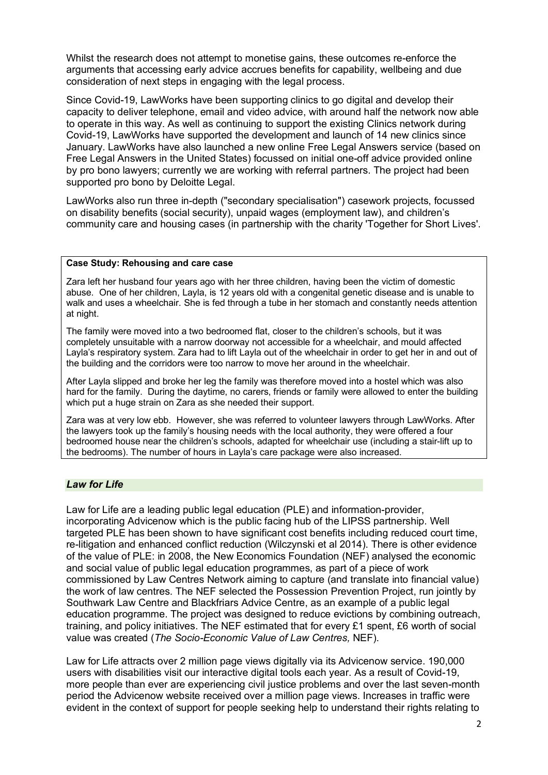Whilst the research does not attempt to monetise gains, these outcomes re-enforce the arguments that accessing early advice accrues benefits for capability, wellbeing and due consideration of next steps in engaging with the legal process.

Since Covid-19, LawWorks have been supporting clinics to go digital and develop their capacity to deliver telephone, email and video advice, with around half the network now able to operate in this way. As well as continuing to support the existing Clinics network during Covid-19, LawWorks have supported the development and launch of 14 new clinics since January. LawWorks have also launched a new online Free Legal Answers service (based on Free Legal Answers in the United States) focussed on initial one-off advice provided online by pro bono lawyers; currently we are working with referral partners. The project had been supported pro bono by Deloitte Legal.

LawWorks also run three in-depth ("secondary specialisation") casework projects, focussed on disability benefits (social security), unpaid wages (employment law), and children's community care and housing cases (in partnership with the charity 'Together for Short Lives'.

#### **Case Study: Rehousing and care case**

Zara left her husband four years ago with her three children, having been the victim of domestic abuse. One of her children, Layla, is 12 years old with a congenital genetic disease and is unable to walk and uses a wheelchair. She is fed through a tube in her stomach and constantly needs attention at night.

The family were moved into a two bedroomed flat, closer to the children's schools, but it was completely unsuitable with a narrow doorway not accessible for a wheelchair, and mould affected Layla's respiratory system. Zara had to lift Layla out of the wheelchair in order to get her in and out of the building and the corridors were too narrow to move her around in the wheelchair.

After Layla slipped and broke her leg the family was therefore moved into a hostel which was also hard for the family. During the daytime, no carers, friends or family were allowed to enter the building which put a huge strain on Zara as she needed their support.

Zara was at very low ebb. However, she was referred to volunteer lawyers through LawWorks. After the lawyers took up the family's housing needs with the local authority, they were offered a four bedroomed house near the children's schools, adapted for wheelchair use (including a stair-lift up to the bedrooms). The number of hours in Layla's care package were also increased.

#### *Law for Life*

Law for Life are a leading public legal education (PLE) and information-provider, incorporating Advicenow which is the public facing hub of the LIPSS partnership. Well targeted PLE has been shown to have significant cost benefits including reduced court time, re-litigation and enhanced conflict reduction (Wilczynski et al 2014). There is other evidence of the value of PLE: in 2008, the New Economics Foundation (NEF) analysed the economic and social value of public legal education programmes, as part of a piece of work commissioned by Law Centres Network aiming to capture (and translate into financial value) the work of law centres. The NEF selected the Possession Prevention Project, run jointly by Southwark Law Centre and Blackfriars Advice Centre, as an example of a public legal education programme. The project was designed to reduce evictions by combining outreach, training, and policy initiatives. The NEF estimated that for every £1 spent, £6 worth of social value was created (*The Socio-Economic Value of Law Centres,* NEF).

Law for Life attracts over 2 million page views digitally via its Advicenow service. 190,000 users with disabilities visit our interactive digital tools each year. As a result of Covid-19, more people than ever are experiencing civil justice problems and over the last seven-month period the Advicenow website received over a million page views. Increases in traffic were evident in the context of support for people seeking help to understand their rights relating to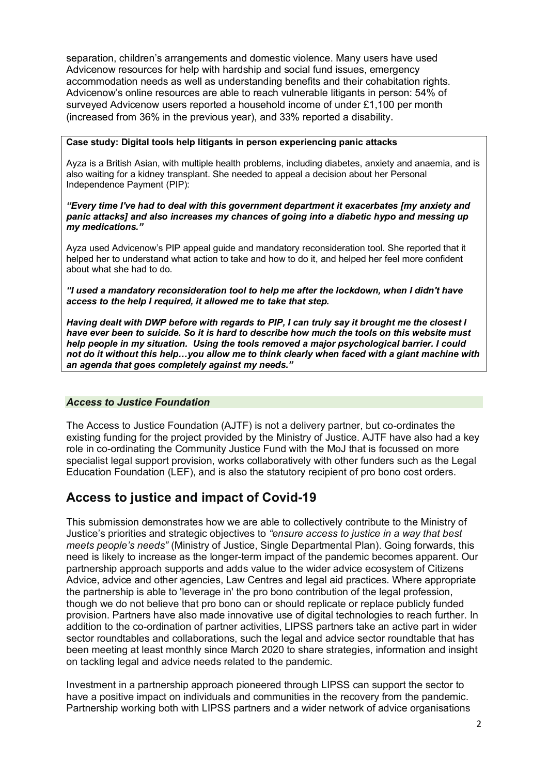separation, children's arrangements and domestic violence. Many users have used Advicenow resources for help with hardship and social fund issues, emergency accommodation needs as well as understanding benefits and their cohabitation rights. Advicenow's online resources are able to reach vulnerable litigants in person: 54% of surveyed Advicenow users reported a household income of under £1,100 per month (increased from 36% in the previous year), and 33% reported a disability.

#### **Case study: Digital tools help litigants in person experiencing panic attacks**

Ayza is a British Asian, with multiple health problems, including diabetes, anxiety and anaemia, and is also waiting for a kidney transplant. She needed to appeal a decision about her Personal Independence Payment (PIP):

*"Every time I've had to deal with this government department it exacerbates [my anxiety and panic attacks] and also increases my chances of going into a diabetic hypo and messing up my medications."*

Ayza used Advicenow's PIP appeal guide and mandatory reconsideration tool. She reported that it helped her to understand what action to take and how to do it, and helped her feel more confident about what she had to do.

*"I used a mandatory reconsideration tool to help me after the lockdown, when I didn't have access to the help I required, it allowed me to take that step.* 

*Having dealt with DWP before with regards to PIP, I can truly say it brought me the closest I have ever been to suicide. So it is hard to describe how much the tools on this website must help people in my situation. Using the tools removed a major psychological barrier. I could not do it without this help…you allow me to think clearly when faced with a giant machine with an agenda that goes completely against my needs."*

#### *Access to Justice Foundation*

The Access to Justice Foundation (AJTF) is not a delivery partner, but co-ordinates the existing funding for the project provided by the Ministry of Justice. AJTF have also had a key role in co-ordinating the Community Justice Fund with the MoJ that is focussed on more specialist legal support provision, works collaboratively with other funders such as the Legal Education Foundation (LEF), and is also the statutory recipient of pro bono cost orders.

## **Access to justice and impact of Covid-19**

This submission demonstrates how we are able to collectively contribute to the Ministry of Justice's priorities and strategic objectives to *"ensure access to justice in a way that best meets people's needs"* (Ministry of Justice, Single Departmental Plan). Going forwards, this need is likely to increase as the longer-term impact of the pandemic becomes apparent. Our partnership approach supports and adds value to the wider advice ecosystem of Citizens Advice, advice and other agencies, Law Centres and legal aid practices. Where appropriate the partnership is able to 'leverage in' the pro bono contribution of the legal profession, though we do not believe that pro bono can or should replicate or replace publicly funded provision. Partners have also made innovative use of digital technologies to reach further. In addition to the co-ordination of partner activities, LIPSS partners take an active part in wider sector roundtables and collaborations, such the legal and advice sector roundtable that has been meeting at least monthly since March 2020 to share strategies, information and insight on tackling legal and advice needs related to the pandemic.

Investment in a partnership approach pioneered through LIPSS can support the sector to have a positive impact on individuals and communities in the recovery from the pandemic. Partnership working both with LIPSS partners and a wider network of advice organisations